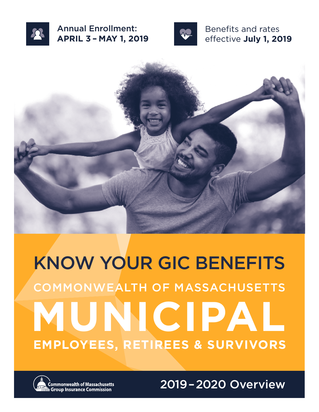

Annual Enrollment: **APRIL 3 – MAY 1, 2019**



Benefits and rates effective **July 1, 2019**



# KNOW YOUR GIC BENEFITS **MUNICIP AL** COMMONWEALTH OF MASSACHUSETTS **EMPLOYEES, RETIREES & SURVIVORS**



**Commonwealth of Massachusetts े Group Insurance Commission** 

2019–2020 Overview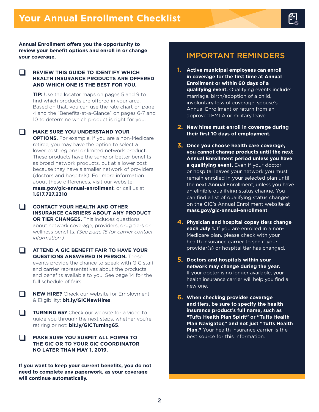**Annual Enrollment offers you the opportunity to review your benefit options and enroll in or change your coverage.**

#### $\Box$ **REVIEW THIS GUIDE TO IDENTIFY WHICH HEALTH INSURANCE PRODUCTS ARE OFFERED AND WHICH ONE IS THE BEST FOR YOU.**

**TIP:** Use the locator maps on pages 5 and 9 to find which products are offered in your area. Based on that, you can use the rate chart on page 4 and the "Benefits-at-a-Glance" on pages 6-7 and 10 to determine which product is right for you.

**MAKE SURE YOU UNDERSTAND YOUR OPTIONS.** For example, if you are a non-Medicare retiree, you may have the option to select a lower cost regional or limited network product. These products have the same or better benefits as broad network products, but at a lower cost because they have a smaller network of providers (doctors and hospitals). For more information about these differences, visit our website: **[mass.gov/gic-annual-enrollment](http://mass.gov/gic-annual-enrollment)**, or call us at **1.617.727.2310**.

 $\Box$ **CONTACT YOUR HEALTH AND OTHER INSURANCE CARRIERS ABOUT ANY PRODUCT OR TIER CHANGES.** This includes questions about network coverage, providers, drug tiers or wellness benefits. *(See page 15 for carrier contact information.)*

- **ATTEND A GIC BENEFIT FAIR TO HAVE YOUR QUESTIONS ANSWERED IN PERSON.** These events provide the chance to speak with GIC staff and carrier representatives about the products and benefits available to you. See page 14 for the full schedule of fairs.
- $\Box$ **NEW HIRE?** Check our website for Employment & Eligibility: **[bit.ly/GICNewHires](http://bit.ly/GICNewHires)**.

 $\Box$ **TURNING 65?** Check our website for a video to guide you through the next steps, whether you're retiring or not: **[bit.ly/GICTurning65](http://bit.ly/GICTurning65)**.

 $\Box$ **MAKE SURE YOU SUBMIT ALL FORMS TO THE GIC OR TO YOUR GIC COORDINATOR NO LATER THAN MAY 1, 2019.**

**If you want to keep your current benefits, you do not need to complete any paperwork, as your coverage will continue automatically.**

# IMPORTANT REMINDERS

- **1. Active municipal employees can enroll in coverage for the first time at Annual Enrollment or within 60 days of a qualifying event.** Qualifying events include: marriage, birth/adoption of a child, involuntary loss of coverage, spouse's Annual Enrollment or return from an approved FMLA or military leave.
- **2. New hires must enroll in coverage during their first 10 days of employment.**
- **3. Once you choose health care coverage, you cannot change products until the next Annual Enrollment period unless you have a qualifying event.** Even if your doctor or hospital leaves your network you must remain enrolled in your selected plan until the next Annual Enrollment, unless you have an eligible qualifying status change. You can find a list of qualifying status changes on the GIC's Annual Enrollment website at **[mass.gov/gic-annual-enrollment](http://mass.gov/gic-annual-enrollment)**.
- **4. Physician and hospital copay tiers change each July 1.** If you are enrolled in a non-Medicare plan, please check with your health insurance carrier to see if your provider(s) or hospital tier has changed.
- **5. Doctors and hospitals within your network may change during the year.** If your doctor is no longer available, your health insurance carrier will help you find a new one.
- **6. When checking provider coverage and tiers, be sure to specify the health insurance product's full name, such as "Tufts Health Plan Spirit" or "Tufts Health Plan Navigator," and not just "Tufts Health Plan."** Your health insurance carrier is the best source for this information.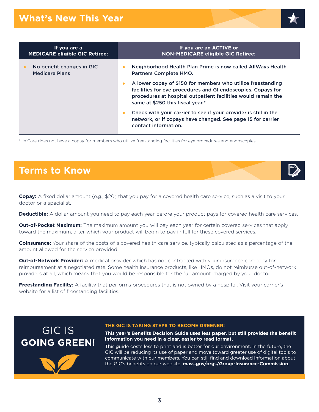

\*UniCare does not have a copay for members who utilize freestanding facilities for eye procedures and endoscopies.

# **Terms to Know**

**Copay:** A fixed dollar amount (e.g., \$20) that you pay for a covered health care service, such as a visit to your doctor or a specialist.

**Deductible:** A dollar amount you need to pay each year before your product pays for covered health care services.

**Out-of-Pocket Maximum:** The maximum amount you will pay each year for certain covered services that apply toward the maximum, after which your product will begin to pay in full for these covered services.

**Coinsurance:** Your share of the costs of a covered health care service, typically calculated as a percentage of the amount allowed for the service provided.

**Out-of-Network Provider:** A medical provider which has not contracted with your insurance company for reimbursement at a negotiated rate. Some health insurance products, like HMOs, do not reimburse out-of-network providers at all, which means that you would be responsible for the full amount charged by your doctor.

**Freestanding Facility:** A facility that performs procedures that is not owned by a hospital. Visit your carrier's website for a list of freestanding facilities.

# GIC IS **GOING GREEN!**

#### **THE GIC IS TAKING STEPS TO BECOME GREENER!**

**This year's Benefits Decision Guide uses less paper, but still provides the benefit information you need in a clear, easier to read format.** 

This guide costs less to print and is better for our environment. In the future, the GIC will be reducing its use of paper and move toward greater use of digital tools to communicate with our members. You can still find and download information about the GIC's benefits on our website: **[mass.gov/orgs/Group-Insurance-Commission](http://mass.gov/orgs/Group-Insurance-Commission)**.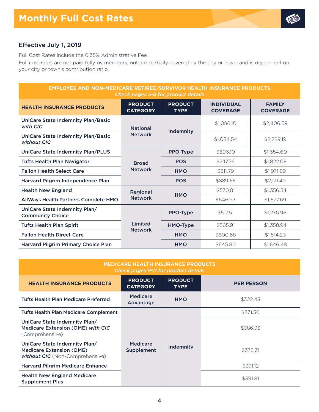

# Effective July 1, 2019

Full Cost Rates include the 0.35% Administrative Fee.

Full cost rates are not paid fully by members, but are partially covered by the city or town, and is dependent on your city or town's contribution ratio.

| <b>EMPLOYEE AND NON-MEDICARE RETIREE/SURVIVOR HEALTH INSURANCE PRODUCTS</b><br>Check pages 5-8 for product details |                                   |                               |                                      |                                  |  |
|--------------------------------------------------------------------------------------------------------------------|-----------------------------------|-------------------------------|--------------------------------------|----------------------------------|--|
| <b>HEALTH INSURANCE PRODUCTS</b>                                                                                   | <b>PRODUCT</b><br><b>CATEGORY</b> | <b>PRODUCT</b><br><b>TYPE</b> | <b>INDIVIDUAL</b><br><b>COVERAGE</b> | <b>FAMILY</b><br><b>COVERAGE</b> |  |
| UniCare State Indemnity Plan/Basic<br>with CIC                                                                     | <b>National</b>                   | Indemnity                     | \$1,086.10                           | \$2.406.59                       |  |
| UniCare State Indemnity Plan/Basic<br>without CIC                                                                  | <b>Network</b>                    |                               | \$1.034.54                           | \$2.289.19                       |  |
| UniCare State Indemnity Plan/PLUS                                                                                  |                                   | PPO-Type                      | \$696.10                             | \$1,654,60                       |  |
| <b>Tufts Health Plan Navigator</b>                                                                                 | <b>Broad</b><br><b>Network</b>    | <b>POS</b>                    | \$747.76                             | \$1,822.08                       |  |
| <b>Fallon Health Select Care</b>                                                                                   |                                   | <b>HMO</b>                    | \$811.79                             | \$1,971.89                       |  |
| Harvard Pilgrim Independence Plan                                                                                  |                                   | <b>POS</b>                    | \$889.65                             | \$2,171.49                       |  |
| <b>Health New England</b>                                                                                          | Regional                          |                               | \$570.81                             | \$1,356.54                       |  |
| AllWays Health Partners Complete HMO                                                                               | <b>Network</b>                    | <b>HMO</b>                    | \$646.93                             | \$1,677.69                       |  |
| UniCare State Indemnity Plan/<br><b>Community Choice</b>                                                           |                                   | <b>PPO-Type</b>               | \$517.51                             | \$1,276.96                       |  |
| <b>Tufts Health Plan Spirit</b>                                                                                    | Limited                           | HMO-Type                      | \$565.91                             | \$1,358.94                       |  |
| <b>Fallon Health Direct Care</b>                                                                                   | <b>Network</b>                    | <b>HMO</b>                    | \$600.68                             | \$1,514.23                       |  |
| <b>Harvard Pilgrim Primary Choice Plan</b>                                                                         |                                   | <b>HMO</b>                    | \$645.80                             | \$1,646.48                       |  |

| <b>MEDICARE HEALTH INSURANCE PRODUCTS</b><br>Check pages 9-11 for product details                          |                                   |                               |                   |  |  |
|------------------------------------------------------------------------------------------------------------|-----------------------------------|-------------------------------|-------------------|--|--|
| <b>HEALTH INSURANCE PRODUCTS</b>                                                                           | <b>PRODUCT</b><br><b>CATEGORY</b> | <b>PRODUCT</b><br><b>TYPE</b> | <b>PER PERSON</b> |  |  |
| <b>Tufts Health Plan Medicare Preferred</b>                                                                | <b>Medicare</b><br>Advantage      | <b>HMO</b>                    | \$322.43          |  |  |
| <b>Tufts Health Plan Medicare Complement</b>                                                               |                                   | Indemnity                     | \$371.50          |  |  |
| UniCare State Indemnity Plan/<br>Medicare Extension (OME) with CIC<br>(Comprehensive)                      |                                   |                               | \$386.93          |  |  |
| UniCare State Indemnity Plan/<br><b>Medicare Extension (OME)</b><br><b>without CIC</b> (Non-Comprehensive) | Medicare<br>Supplement            |                               | \$376.31          |  |  |
| <b>Harvard Pilgrim Medicare Enhance</b>                                                                    |                                   |                               | \$391.12          |  |  |
| <b>Health New England Medicare</b><br><b>Supplement Plus</b>                                               |                                   |                               | \$391.81          |  |  |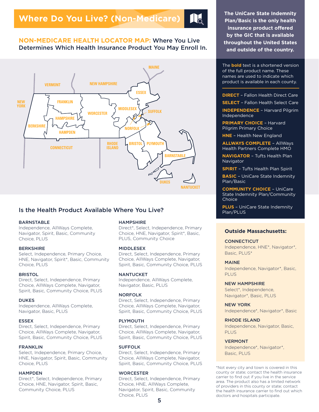# **NON-MEDICARE HEALTH LOCATOR MAP:** Where You Live Determines Which Health Insurance Product You May Enroll In.



# Is the Health Product Available Where You Live?

#### BARNSTABLE

Independence, AllWays Complete, Navigator, Spirit, Basic, Community Choice, PLUS

#### BERKSHIRE

<span id="page-4-1"></span>Select, Independence, Primary Choice, HNE, Navigator, Spiri[t\\*,](#page-4-0) Basic, Community Choice, PLUS

#### **BRISTOL**

Direct, Select, Independence, Primary Choice, AllWays Complete, Navigator, Spirit, Basic, Community Choice, PLUS

#### **DUKES**

Independence, AllWays Complete, Navigator, Basic, PLUS

#### ESSEX

Direct, Select, Independence, Primary Choice, AllWays Complete, Navigator, Spirit, Basic, Community Choice, PLUS

#### FRANKLIN

Select, Independence, Primary Choice, HNE, Navigator, Spirit, Basic, Community Choice, PLUS

#### **HAMPDEN**

Direc[t\\*,](#page-4-0) Select, Independence, Primary Choice, HNE, Navigator, Spirit, Basic, Community Choice, PLUS

#### **HAMPSHIRE**

Direc[t\\*,](#page-4-0) Select, Independence, Primary Choice, HNE, Navigator, Spiri[t\\*,](#page-4-0) Basic, PLUS, Community Choice

#### MIDDLESEX

Direct, Select, Independence, Primary Choice, AllWays Complete, Navigator, Spirit, Basic, Community Choice, PLUS

#### **NANTUCKET**

Independence, AllWays Complete, Navigator, Basic, PLUS

#### NORFOLK

Direct, Select, Independence, Primary Choice, AllWays Complete, Navigator, Spirit, Basic, Community Choice, PLUS

#### PLYMOUTH

Direct, Select, Independence, Primary Choice, AllWays Complete, Navigator, Spirit, Basic, Community Choice, PLUS

#### SUFFOLK

Direct, Select, Independence, Primary Choice, AllWays Complete, Navigator, Spirit, Basic, Community Choice, PLUS

#### **WORCESTER**

Direct, Select, Independence, Primary Choice, HNE, AllWays Complete, Navigator, Spirit, Basic, Community Choice, PLUS

**The UniCare State Indemnity Plan/Basic is the only health insurance product offered by the GIC that is available throughout the United States and outside of the country.**

The **bold** text is a shortened version of the full product name. These names are used to indicate which product is available in each county.

**DIRECT** – Fallon Health Direct Care

**SELECT** – Fallon Health Select Care

**INDEPENDENCE** – Harvard Pilgrim Independence

**PRIMARY CHOICE** – Harvard Pilgrim Primary Choice

**HNE** – Health New England

**ALLWAYS COMPLETE** – AllWays Health Partners Complete HMO

**NAVIGATOR** – Tufts Health Plan Navigator

**SPIRIT** – Tufts Health Plan Spirit

**BASIC** – UniCare State Indemnity Plan/Basic

**COMMUNITY CHOICE** – UniCare State Indemnity Plan/Community **Choice** 

**PLUS** – UniCare State Indemnity

### **Outside Massachusetts:**

### **CONNECTICUT**

Independence, HNE[\\*,](#page-4-0) Navigato[r\\*,](#page-4-0) Basic, PLUS[\\*](#page-4-0)

#### **MAINE**

Independence, Navigator\*, Basic, PLUS

#### NEW HAMPSHIRE

Selec[t\\*,](#page-4-0) Independence, Navigator[\\*](#page-4-0), Basic, PLUS

NEW YORK Independence[\\*](#page-4-0), Navigator[\\*,](#page-4-0) Basic

#### RHODE ISLAND

Independence, Navigator, Basic, PLUS

#### VERMONT

Independence[\\*](#page-4-0), Navigator[\\*,](#page-4-0) Basic, PLUS

<span id="page-4-0"></span>[\\*](#page-4-1)Not every city and town is covered in this county or state; contact the health insurance carrier to find out if you live in the service area. The product also has a limited network of providers in this county or state; contact the health insurance carrier to find out which doctors and hospitals participate.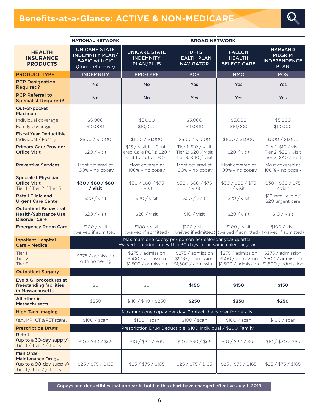# **Benefits-at-a-Glance: ACTIVE & NON-MEDICARE**



|                                                                                                        | <b>NATIONAL NETWORK</b>                                                                    | <b>BROAD NETWORK</b>                                                                                                      |                                                                                 |                                                               |                                                                        |
|--------------------------------------------------------------------------------------------------------|--------------------------------------------------------------------------------------------|---------------------------------------------------------------------------------------------------------------------------|---------------------------------------------------------------------------------|---------------------------------------------------------------|------------------------------------------------------------------------|
| <b>HEALTH</b><br><b>INSURANCE</b><br><b>PRODUCTS</b>                                                   | <b>UNICARE STATE</b><br><b>INDEMNITY PLAN/</b><br><b>BASIC with CIC</b><br>(Comprehensive) | <b>UNICARE STATE</b><br><b>INDEMNITY</b><br><b>PLAN/PLUS</b>                                                              | <b>TUFTS</b><br><b>HEALTH PLAN</b><br><b>NAVIGATOR</b>                          | <b>FALLON</b><br><b>HEALTH</b><br><b>SELECT CARE</b>          | <b>HARVARD</b><br><b>PILGRIM</b><br><b>INDEPENDENCE</b><br><b>PLAN</b> |
| <b>PRODUCT TYPE</b>                                                                                    | <b>INDEMNITY</b>                                                                           | PPO-TYPE                                                                                                                  | <b>POS</b>                                                                      | <b>HMO</b>                                                    | <b>POS</b>                                                             |
| <b>PCP Designation</b><br><b>Required?</b>                                                             | <b>No</b>                                                                                  | <b>No</b>                                                                                                                 | Yes                                                                             | <b>Yes</b>                                                    | <b>Yes</b>                                                             |
| <b>PCP Referral to</b><br><b>Specialist Required?</b>                                                  | <b>No</b>                                                                                  | <b>No</b>                                                                                                                 | Yes                                                                             | Yes                                                           | <b>Yes</b>                                                             |
| Out-of-pocket<br><b>Maximum</b>                                                                        |                                                                                            |                                                                                                                           |                                                                                 |                                                               |                                                                        |
| Individual coverage<br>Family coverage                                                                 | \$5,000<br>\$10,000                                                                        | \$5,000<br>\$10,000                                                                                                       | \$5,000<br>\$10,000                                                             | \$5,000<br>\$10,000                                           | \$5,000<br>\$10,000                                                    |
| <b>Fiscal Year Deductible</b><br>Individual / Family                                                   | \$500 / \$1,000                                                                            | \$500 / \$1,000                                                                                                           | \$500 / \$1,000                                                                 | \$500 / \$1,000                                               | \$500 / \$1,000                                                        |
| <b>Primary Care Provider</b><br><b>Office Visit</b>                                                    | \$20 / visit                                                                               | \$15 / visit for Cent-<br>ered Care PCPs; \$20 /<br>visit for other PCPs                                                  | Tier 1: \$10 / visit<br>Tier 2: \$20 / visit<br>Tier 3: \$40 / visit            | \$20 / visit                                                  | Tier 1: \$10 / visit<br>Tier 2: \$20 / visit<br>Tier 3: \$40 / visit   |
| <b>Preventive Services</b>                                                                             | Most covered at<br>100% - no copay                                                         | Most covered at<br>100% - no copay                                                                                        | Most covered at<br>100% - no copay                                              | Most covered at<br>100% - no copay                            | Most covered at<br>100% - no copay                                     |
| <b>Specialist Physician</b><br><b>Office Visit</b><br>Tier $1/$ Tier $2/$ Tier 3                       | \$30 / \$60 / \$60<br>/ visit                                                              | \$30 / \$60 / \$75<br>/ visit                                                                                             | \$30 / \$60 / \$75<br>/ visit                                                   | \$30 / \$60 / \$75<br>/ visit                                 | \$30 / \$60 / \$75<br>/ visit                                          |
| <b>Retail Clinic and</b><br><b>Urgent Care Center</b>                                                  | \$20 / vist                                                                                | \$20 / vist                                                                                                               | \$20 / vist                                                                     | \$20 / vist                                                   | \$10 retail clinic /<br>\$20 urgent care                               |
| <b>Outpatient Behavioral</b><br><b>Health/Substance Use</b><br><b>Disorder Care</b>                    | \$20 / visit                                                                               | \$20 / vist                                                                                                               | \$10 / visit                                                                    | \$20 / visit                                                  | \$10 / vist                                                            |
| <b>Emergency Room Care</b>                                                                             | \$100 / visit<br>(waived if admitted)                                                      | \$100 / visit<br>(waived if admitted)                                                                                     | \$100 / visit<br>(waived if admitted) (waived if admitted) (waived if admitted) | \$100 / visit                                                 | \$100 / visit                                                          |
| <b>Inpatient Hospital</b><br><b>Care - Medical</b>                                                     |                                                                                            | Maximum one copay per person per calendar year quarter.<br>Waived if readmitted within 30 days in the same calendar year. |                                                                                 |                                                               |                                                                        |
| Tier 1<br>Tier 2<br>Tier 3                                                                             | \$275 / admission<br>with no tiering                                                       | \$275 / admission<br>\$500 / admission<br>\$1,500 / admission                                                             | \$275 / admission<br>\$500 / admission<br>\$1,500 / admission                   | \$275 / admission<br>\$500 / admission<br>\$1,500 / admission | \$275 / admission<br>\$500 / admission<br>$$1,500 /$ admission         |
| <b>Outpatient Surgery</b>                                                                              |                                                                                            |                                                                                                                           |                                                                                 |                                                               |                                                                        |
| Eye & GI procedures at<br>freestanding facilities<br>in Massachusetts                                  | \$0                                                                                        | \$0                                                                                                                       | \$150                                                                           | \$150                                                         | \$150                                                                  |
| All other in<br><b>Massachusetts</b>                                                                   | \$250                                                                                      | \$110 / \$110 / \$250                                                                                                     | \$250                                                                           | \$250                                                         | \$250                                                                  |
| <b>High-Tech Imaging</b>                                                                               |                                                                                            | Maximum one copay per day. Contact the carrier for details.                                                               |                                                                                 |                                                               |                                                                        |
| (e.g., MRI, CT & PET scans)                                                                            | \$100 / scan                                                                               | \$100 / scan                                                                                                              | \$100 / scan                                                                    | \$100 / scan                                                  | \$100 / scan                                                           |
| <b>Prescription Drugs</b>                                                                              |                                                                                            | Prescription Drug Deductible: \$100 Individual / \$200 Family                                                             |                                                                                 |                                                               |                                                                        |
| <b>Retail</b><br>(up to a 30-day supply)<br>Tier $1/$ Tier $2/$ Tier 3                                 | \$10 / \$30 / \$65                                                                         | \$10 / \$30 / \$65                                                                                                        | \$10 / \$30 / \$65                                                              | \$10 / \$30 / \$65                                            | \$10 / \$30 / \$65                                                     |
| <b>Mail Order</b><br><b>Maintenance Drugs</b><br>(up to a 90-day supply)<br>Tier $1/$ Tier $2/$ Tier 3 | \$25 / \$75 / \$165                                                                        | \$25 / \$75 / \$165                                                                                                       | \$25 / \$75 / \$165                                                             | \$25 / \$75 / \$165                                           | \$25 / \$75 / \$165                                                    |

Copays and deductibles that appear in bold in this chart have changed effective July 1, 2019.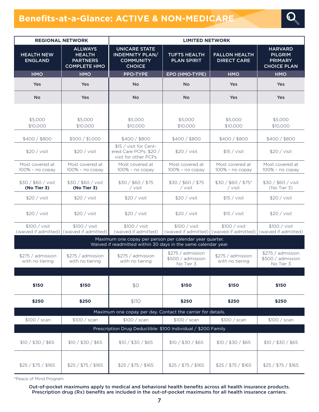# **Benefits-at-a-Glance: ACTIVE & NON-MEDICARE**



|                                                                                                                           | <b>REGIONAL NETWORK</b>                                                   | <b>LIMITED NETWORK</b>                                                              |                                                     |                                                            |                                                                          |
|---------------------------------------------------------------------------------------------------------------------------|---------------------------------------------------------------------------|-------------------------------------------------------------------------------------|-----------------------------------------------------|------------------------------------------------------------|--------------------------------------------------------------------------|
| <b>HEALTH NEW</b><br><b>ENGLAND</b>                                                                                       | <b>ALLWAYS</b><br><b>HEALTH</b><br><b>PARTNERS</b><br><b>COMPLETE HMO</b> | <b>UNICARE STATE</b><br><b>INDEMNITY PLAN/</b><br><b>COMMUNITY</b><br><b>CHOICE</b> | <b>TUFTS HEALTH</b><br><b>PLAN SPIRIT</b>           | <b>FALLON HEALTH</b><br><b>DIRECT CARE</b>                 | <b>HARVARD</b><br><b>PILGRIM</b><br><b>PRIMARY</b><br><b>CHOICE PLAN</b> |
| <b>HMO</b>                                                                                                                | <b>HMO</b>                                                                | <b>PPO-TYPE</b>                                                                     | EPO (HMO-TYPE)                                      | <b>HMO</b>                                                 | <b>HMO</b>                                                               |
| Yes                                                                                                                       | Yes                                                                       | <b>No</b>                                                                           | <b>No</b>                                           | <b>Yes</b>                                                 | Yes                                                                      |
| <b>No</b>                                                                                                                 | Yes                                                                       | <b>No</b>                                                                           | <b>No</b>                                           | <b>Yes</b>                                                 | <b>Yes</b>                                                               |
|                                                                                                                           |                                                                           |                                                                                     |                                                     |                                                            |                                                                          |
| \$5,000<br>\$10,000                                                                                                       | \$5,000<br>\$10,000                                                       | \$5,000<br>\$10,000                                                                 | \$5,000<br>\$10,000                                 | \$5,000<br>\$10,000                                        | \$5,000<br>\$10,000                                                      |
| \$400/\$800                                                                                                               | \$500 / \$1,000                                                           | \$400/\$800                                                                         | \$400/\$800                                         | \$400/\$800                                                | \$400/\$800                                                              |
| \$20 / vist                                                                                                               | \$20 / visit                                                              | \$15 / visit for Cent-<br>ered Care PCPs; \$20 /<br>visit for other PCPs            | \$20 / visit                                        | \$15 / vist                                                | \$20 / visit                                                             |
| Most covered at<br>$100\%$ - no copay                                                                                     | Most covered at<br>100% - no copay                                        | Most covered at<br>$100\%$ - no copay                                               | Most covered at<br>100% - no copay                  | Most covered at<br>100% - no copay                         | Most covered at<br>100% - no copay                                       |
| \$30 / \$60 / visit<br>(No Tier 3)                                                                                        | \$30 / \$60 / visit<br>(No Tier 3)                                        | \$30 / \$60 / \$75<br>/ visit                                                       | \$30 / \$60 / \$75<br>/ visit                       | \$30 / \$60 / \$75*<br>/ visit                             | \$30 / \$60 / visit<br>(No Tier 3)                                       |
| \$20 / vist                                                                                                               | \$20 / vist                                                               | \$20 / vist                                                                         | \$20 / vist                                         | \$15 / vist                                                | \$20 / vist                                                              |
| \$20 / visit                                                                                                              | \$20 / visit                                                              | \$20 / vist                                                                         | \$20 / visit                                        | \$15 / visit                                               | \$20 / visit                                                             |
| \$100 / visit<br>(waived if admitted)                                                                                     | \$100 / visit<br>(waived if admitted)                                     | \$100 / visit<br>(waived if admitted)                                               | \$100 / visit                                       | \$100 / visit<br>(waived if admitted) (waived if admitted) | \$100 / visit<br>(waived if admitted)                                    |
| Maximum one copay per person per calendar year quarter.<br>Waived if readmitted within 30 days in the same calendar year. |                                                                           |                                                                                     |                                                     |                                                            |                                                                          |
| \$275 / admission<br>with no tiering                                                                                      | \$275 / admission<br>with no tiering                                      | \$275 / admission<br>with no tiering                                                | \$275 / admission<br>\$500 / admission<br>No Tier 3 | \$275 / admission<br>with no tiering                       | \$275 / admission<br>\$500 / admission<br>No Tier 3                      |
|                                                                                                                           |                                                                           |                                                                                     |                                                     |                                                            |                                                                          |
| \$150                                                                                                                     | \$150                                                                     | \$0                                                                                 | \$150                                               | \$150                                                      | <b>\$150</b>                                                             |
| \$250                                                                                                                     | \$250                                                                     | \$110                                                                               | \$250                                               | \$250                                                      | \$250                                                                    |
|                                                                                                                           |                                                                           | Maximum one copay per day. Contact the carrier for details.                         |                                                     |                                                            |                                                                          |
| \$100 / scan                                                                                                              | \$100 / scan                                                              | \$100 / scan<br>Prescription Drug Deductible: \$100 Individual / \$200 Family       | \$100 / scan                                        | \$100 / scan                                               | \$100 / scan                                                             |
| \$10 / \$30 / \$65                                                                                                        | \$10 / \$30 / \$65                                                        | \$10 / \$30 / \$65                                                                  | \$10 / \$30 / \$65                                  | \$10 / \$30 / \$65                                         | \$10 / \$30 / \$65                                                       |
| \$25 / \$75 / \$165                                                                                                       | \$25 / \$75 / \$165                                                       | \$25 / \$75 / \$165                                                                 | \$25 / \$75 / \$165                                 | \$25 / \$75 / \$165                                        | \$25 / \$75 / \$165                                                      |

\*Peace of Mind Program

Out-of-pocket maximums apply to medical and behavioral health benefits across all health insurance products. Prescription drug (Rx) benefits are included in the out-of-pocket maximums for all health insurance carriers.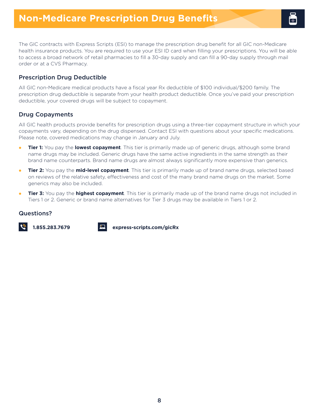The GIC contracts with Express Scripts (ESI) to manage the prescription drug benefit for all GIC non-Medicare health insurance products. You are required to use your ESI ID card when filling your prescriptions. You will be able to access a broad network of retail pharmacies to fill a 30-day supply and can fill a 90-day supply through mail order or at a CVS Pharmacy.

# Prescription Drug Deductible

All GIC non-Medicare medical products have a fiscal year Rx deductible of \$100 individual/\$200 family. The prescription drug deductible is separate from your health product deductible. Once you've paid your prescription deductible, your covered drugs will be subject to copayment.

## Drug Copayments

All GIC health products provide benefits for prescription drugs using a three-tier copayment structure in which your copayments vary, depending on the drug dispensed. Contact ESI with questions about your specific medications. Please note, covered medications may change in January and July.

- $\bullet$ **Tier 1:** You pay the **lowest copayment**. This tier is primarily made up of generic drugs, although some brand name drugs may be included. Generic drugs have the same active ingredients in the same strength as their brand name counterparts. Brand name drugs are almost always significantly more expensive than generics.
- l **Tier 2:** You pay the **mid-level copayment**. This tier is primarily made up of brand name drugs, selected based on reviews of the relative safety, effectiveness and cost of the many brand name drugs on the market. Some generics may also be included.
- $\bullet$ **Tier 3:** You pay the **highest copayment**. This tier is primarily made up of the brand name drugs not included in Tiers 1 or 2. Generic or brand name alternatives for Tier 3 drugs may be available in Tiers 1 or 2.

## Questions?



**1.855.283.7679 [express-scripts.com/gicRx](http://express-scripts.com/gicRx)**

8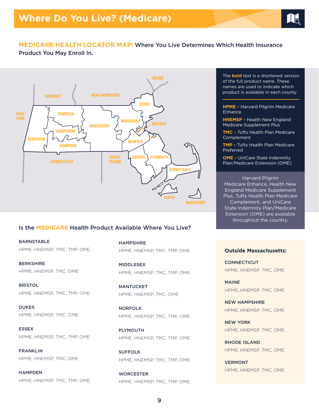

# **MEDICARE HEALTH LOCATOR MAP:** Where You Live Determines Which Health Insurance

Product You May Enroll In.



## Is the **MEDICARE** Health Product Available Where You Live?

BARNSTABLE HPME, HNEMSP, TMC, TMP, OME

BERKSHIRE HPME, HNEMSP, TMC, OME

**BRISTOL** HPME, HNEMSP, TMC, TMP, OME

DUKES HPME, HNEMSP, TMC, OME

ESSEX HPME, HNEMSP, TMC, TMP, OME

**FRANKLIN** HPME, HNEMSP, TMC, OME

**HAMPDEN** HPME, HNEMSP, TMC, TMP, OME HAMPSHIRE HPME, HNEMSP, TMC, TMP, OME

MIDDLESEX HPME, HNEMSP, TMC, TMP, OME

NANTUCKET HPME, HNEMSP, TMC, OME

NORFOLK HPME, HNEMSP, TMC, TMP, OME

PLYMOUTH HPME, HNEMSP, TMC, TMP, OME

SUFFOLK HPME, HNEMSP, TMC, TMP, OME

**WORCESTER** HPME, HNEMSP, TMC, TMP, OME The **bold** text is a shortened version of the full product name. These names are used to indicate which product is available in each county.

**HPME** – Harvard Pilgrim Medicare Enhance

**HNEMSP** – Health New England Medicare Supplement Plus

**TMC** – Tufts Health Plan Medicare Complement

**TMP** – Tufts Health Plan Medicare Preferred

**OME** – UniCare State Indemnity Plan/Medicare Extension (OME)

Harvard Pilgrim Medicare Enhance, Health New England Medicare Supplement Plus, Tufts Health Plan Medicare Complement, and UniCare State Indemnity Plan/Medicare Extension (OME) are available throughout the country.

### **Outside Massachusetts:**

**CONNECTICUT** HPME, HNEMSP, TMC, OME

MAINE HPME, HNEMSP, TMC, OME

NEW HAMPSHIRE HPME, HNEMSP, TMC, OME

NEW YORK HPME, HNEMSP, TMC, OME

RHODE ISLAND HPME, HNEMSP, TMC, OME

VERMONT HPME, HNEMSP, TMC, OME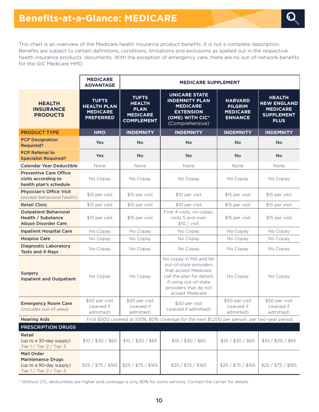<span id="page-9-1"></span>

This chart is an overview of the Medicare health insurance product benefits. It is not a complete description. Benefits are subject to certain definitions, conditions, limitations and exclusions as spelled out in the respective health insurance products' documents. With the exception of emergency care, there are no out-of-network benefits for the GIC Medicare HMO.

|                                                                                                      | <b>MEDICARE</b><br><b>ADVANTAGE</b>                                       | <b>MEDICARE SUPPLEMENT</b>                                                                     |                                                                                                                                                                             |                                                                       |                                                                                            |
|------------------------------------------------------------------------------------------------------|---------------------------------------------------------------------------|------------------------------------------------------------------------------------------------|-----------------------------------------------------------------------------------------------------------------------------------------------------------------------------|-----------------------------------------------------------------------|--------------------------------------------------------------------------------------------|
| <b>HEALTH</b><br><b>INSURANCE</b><br><b>PRODUCTS</b>                                                 | <b>TUFTS</b><br><b>HEALTH PLAN</b><br><b>MEDICARE</b><br><b>PREFERRED</b> | <b>TUFTS</b><br><b>HEALTH</b><br><b>PLAN</b><br><b>MEDICARE</b><br><b>COMPLEMENT</b>           | <b>UNICARE STATE</b><br><b>INDEMNITY PLAN</b><br><b>MEDICARE</b><br><b>EXTENSION</b><br>(OME) WITH CIC*<br>(Comprehensive)                                                  | <b>HARVARD</b><br><b>PILGRIM</b><br><b>MEDICARE</b><br><b>ENHANCE</b> | <b>HEALTH</b><br><b>NEW ENGLAND</b><br><b>MEDICARE</b><br><b>SUPPLEMENT</b><br><b>PLUS</b> |
| <b>PRODUCT TYPE</b>                                                                                  | <b>HMO</b>                                                                | <b>INDEMNITY</b>                                                                               | <b>INDEMNITY</b>                                                                                                                                                            | <b>INDEMNITY</b>                                                      | <b>INDEMNITY</b>                                                                           |
| <b>PCP Designation</b><br><b>Required?</b>                                                           | Yes                                                                       | <b>No</b>                                                                                      | <b>No</b>                                                                                                                                                                   | <b>No</b>                                                             | <b>No</b>                                                                                  |
| <b>PCP Referral to</b><br><b>Specialist Required?</b>                                                | Yes                                                                       | <b>No</b>                                                                                      | <b>No</b>                                                                                                                                                                   | <b>No</b>                                                             | <b>No</b>                                                                                  |
| <b>Calendar Year Deductible</b>                                                                      | None                                                                      | None                                                                                           | None                                                                                                                                                                        | None                                                                  | None                                                                                       |
| <b>Preventive Care Office</b><br>visits according to<br>health plan's schedule                       | No Copay                                                                  | No Copay                                                                                       | No Copay                                                                                                                                                                    | No Copay                                                              | No Copay                                                                                   |
| <b>Physician's Office Visit</b><br>(except behavioral health)                                        | \$15 per visit                                                            | \$15 per visit                                                                                 | \$10 per visit                                                                                                                                                              | \$15 per visit                                                        | \$15 per visit                                                                             |
| <b>Retail Clinic</b>                                                                                 | \$15 per visit                                                            | \$15 per visit                                                                                 | \$10 per visit                                                                                                                                                              | \$15 per visit                                                        | \$15 per visit                                                                             |
| <b>Outpatient Behavioral</b><br>Health / Substance<br><b>Abuse Disorder Care</b>                     | \$15 per visit                                                            | \$15 per visit                                                                                 | First 4 visits: no copay;<br>visits 5 and over:<br>\$10 / vist                                                                                                              | \$15 per visit                                                        | \$15 per visit                                                                             |
| <b>Inpatient Hospital Care</b>                                                                       | No Copay                                                                  | No Copay                                                                                       | No Copay                                                                                                                                                                    | No Copay                                                              | No Copay                                                                                   |
| <b>Hospice Care</b>                                                                                  | No Copay                                                                  | No Copay                                                                                       | No Copay                                                                                                                                                                    | No Copay                                                              | No Copay                                                                                   |
| <b>Diagnostic Laboratory</b><br><b>Tests and X-Rays</b>                                              | No Copay                                                                  | No Copay                                                                                       | No Copay                                                                                                                                                                    | No Copay                                                              | No Copay                                                                                   |
| <b>Surgery</b><br><b>Inpatient and Outpatient</b>                                                    | No Copay                                                                  | No Copay                                                                                       | No copay in MA and for<br>out-of-state providers<br>that accept Medicare;<br>call the plan for details<br>if using out-of-state<br>providers that do not<br>accept Medicare | No Copay                                                              | No Copay                                                                                   |
| <b>Emergency Room Care</b><br>(includes out-of-area)                                                 | \$50 per visit<br>(waived if<br>admitted)                                 | \$50 per visit<br>(waived if<br>admitted)                                                      | \$50 per visit<br>(waived if admitted)                                                                                                                                      | \$50 per visit<br>(waived if<br>admitted)                             | \$50 per visit<br>(waived if<br>admitted)                                                  |
| <b>Hearing Aids</b>                                                                                  |                                                                           | First \$500 covered at 100%; 80% coverage for the next \$1,200 per person, per two-year period |                                                                                                                                                                             |                                                                       |                                                                                            |
| <b>PRESCRIPTION DRUGS</b>                                                                            |                                                                           |                                                                                                |                                                                                                                                                                             |                                                                       |                                                                                            |
| Retail<br>(up to a 30-day supply)<br>Tier 1 / Tier 2 / Tier 3                                        | \$10 / \$30 / \$65                                                        | \$10 / \$30 / \$65                                                                             | \$10 / \$30 / \$65                                                                                                                                                          | \$10 / \$30 / \$65                                                    | \$10 / \$30 / \$65                                                                         |
| <b>Mail Order</b><br><b>Maintenance Drugs</b><br>(up to a 90-day supply)<br>Tier 1 / Tier 2 / Tier 3 | \$25 / \$75 / \$165                                                       | \$25 / \$75 / \$165                                                                            | \$25 / \$75 / \$165                                                                                                                                                         | \$25 / \$75 / \$165                                                   | \$25 / \$75 / \$165                                                                        |

<span id="page-9-0"></span>[\\*](#page-9-1) Without CIC, deductibles are higher and coverage is only 80% for some services. Contact the carrier for details.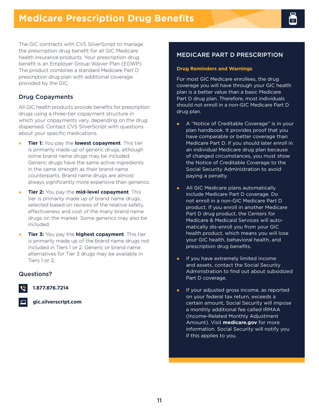The GIC contracts with CVS SilverScript to manage the prescription drug benefit for all GIC Medicare health insurance products. Your prescription drug benefit is an Employer Group Waiver Plan (EGWP). The product combines a standard Medicare Part D prescription drug plan with additional coverage provided by the GIC.

# Drug Copayments

All GIC health products provide benefits for prescription drugs using a three-tier copayment structure in which your copayments vary, depending on the drug dispensed. Contact CVS SilverScript with questions about your specific medications.

- **Tier 1:** You pay the **lowest copayment**. This tier is primarily made up of generic drugs, although some brand name drugs may be included. Generic drugs have the same active ingredients in the same strength as their brand name counterparts. Brand name drugs are almost always significantly more expensive than generics.  $\bullet$
- **Tier 2:** You pay the **mid-level copayment**. This tier is primarily made up of brand name drugs, selected based on reviews of the relative safety, effectiveness and cost of the many brand name drugs on the market. Some generics may also be included.  $\bullet$
- **Tier 3:** You pay the **highest copayment**. This tier is primarily made up of the brand name drugs not included in Tiers 1 or 2. Generic or brand name alternatives for Tier 3 drugs may be available in Tiers 1 or 2.  $\bullet$

# Questions?

**1.877.876.7214**



**[gic.silverscript.com](http://gic.silverscript.com)**

# MEDICARE PART D PRESCRIPTION

## **Drug Reminders and Warnings**

For most GIC Medicare enrollees, the drug coverage you will have through your GIC health plan is a better value than a basic Medicare Part D drug plan. Therefore, most individuals should not enroll in a non-GIC Medicare Part D drug plan.

- A "Notice of Creditable Coverage" is in your plan handbook. It provides proof that you have comparable or better coverage than Medicare Part D. If you should later enroll in an individual Medicare drug plan because of changed circumstances, you must show the Notice of Creditable Coverage to the Social Security Administration to avoid paying a penalty.  $\bullet$
- All GIC Medicare plans automatically include Medicare Part D coverage. Do not enroll in a non-GIC Medicare Part D product. If you enroll in another Medicare Part D drug product, the Centers for Medicare & Medicaid Services will automatically dis-enroll you from your GIC health product, which means you will lose your GIC health, behavioral health, and prescription drug benefits.  $\bullet$
- If you have extremely limited income and assets, contact the Social Security Administration to find out about subsidized Part D coverage.  $\bullet$
- If your adjusted gross income, as reported on your federal tax return, exceeds a certain amount, Social Security will impose a monthly additional fee called IRMAA (Income-Related Monthly Adjustment Amount). Visit **[medicare.gov](http://medicare.gov)** for more information. Social Security will notify you if this applies to you.  $\bullet$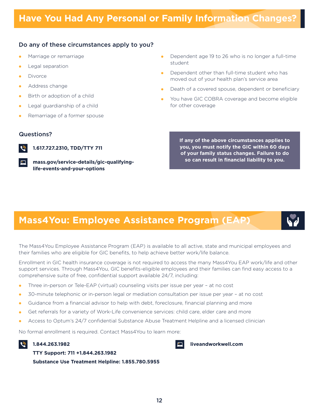# Do any of these circumstances apply to you?

- $\bullet$ Marriage or remarriage
- $\bullet$ Legal separation
- $\bullet$ Divorce
- $\bullet$ Address change
- $\bullet$ Birth or adoption of a child
- $\bullet$ Legal guardianship of a child
- $\bullet$ Remarriage of a former spouse

## Questions?



**1.617.727.2310, TDD/TTY 711**

**[mass.gov/service-details/gic-qualifying](http://mass.gov/service-details/gic-qualifying-life-events-and-your-options)life-events-and-your-options**

- $\bullet$ Dependent age 19 to 26 who is no longer a full-time student
- $\bullet$ Dependent other than full-time student who has moved out of your health plan's service area
- $\bullet$ Death of a covered spouse, dependent or beneficiary
- $\bullet$ You have GIC COBRA coverage and become eligible for other coverage

**If any of the above circumstances applies to you, you must notify the GIC within 60 days of your family status changes. Failure to do so can result in financial liability to you.**

**[liveandworkwell.com](http://liveandworkwell.com)**

# **Mass4You: Employee Assistance Program (EAP)**



The Mass4You Employee Assistance Program (EAP) is available to all active, state and municipal employees and their families who are eligible for GIC benefits, to help achieve better work/life balance.

Enrollment in GIC health insurance coverage is not required to access the many Mass4You EAP work/life and other support services. Through Mass4You, GIC benefits-eligible employees and their families can find easy access to a comprehensive suite of free, confidential support available 24/7, including:

- Three in-person or Tele-EAP (virtual) counseling visits per issue per year at no cost l
- 30-minute telephonic or in-person legal or mediation consultation per issue per year at no cost  $\bullet$
- Guidance from a financial advisor to help with debt, foreclosure, financial planning and more  $\bullet$
- Get referrals for a variety of Work-Life convenience services: child care, elder care and more  $\bullet$
- Access to Optum's 24/7 confidential Substance Abuse Treatment Helpline and a licensed clinician  $\bullet$

No formal enrollment is required. Contact Mass4You to learn more:

## **1.844.263.1982**



**Substance Use Treatment Helpline: 1.855.780.5955**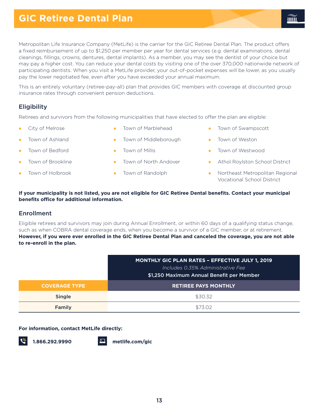# **GIC Retiree Dental Plan**

Metropolitan Life Insurance Company (MetLife) is the carrier for the GIC Retiree Dental Plan. The product offers a fixed reimbursement of up to \$1,250 per member per year for dental services (e.g. dental examinations, dental cleanings, fillings, crowns, dentures, dental implants). As a member, you may see the dentist of your choice but may pay a higher cost. You can reduce your dental costs by visiting one of the over 370,000 nationwide network of participating dentists. When you visit a MetLife provider, your out-of-pocket expenses will be lower, as you usually pay the lower negotiated fee, even after you have exceeded your annual maximum.

This is an entirely voluntary (retiree-pay-all) plan that provides GIC members with coverage at discounted group insurance rates through convenient pension deductions.

# **Eligibility**

Retirees and survivors from the following municipalities that have elected to offer the plan are eligible:

 $\bullet$ City of Melrose

- $\bullet$ Town of Marblehead
- $\bullet$ Town of Ashland
- $\bullet$ Town of Bedford
- $\bullet$ Town of Brookline
- $\bullet$ Town of Holbrook
- 
- $\bullet$ Town of Middleborough
- $\bullet$ Town of Millis
- $\bullet$ Town of North Andover
- $\bullet$ Town of Randolph
- l Town of Swampscott
- $\bullet$ Town of Weston
- $\bullet$ Town of Westwood
- $\bullet$ Athol Roylston School District
- Northeast Metropolitan Regional Vocational School District

## **If your municipality is not listed, you are not eligible for GIC Retiree Dental benefits. Contact your municipal benefits office for additional information.**

## Enrollment

Eligible retirees and survivors may join during Annual Enrollment, or within 60 days of a qualifying status change, such as when COBRA dental coverage ends, when you become a survivor of a GIC member, or at retirement. **However, if you were ever enrolled in the GIC Retiree Dental Plan and canceled the coverage, you are not able to re-enroll in the plan.**

|                      | <b>MONTHLY GIC PLAN RATES - EFFECTIVE JULY 1, 2019</b><br>Includes 0.35% Administrative Fee<br>\$1,250 Maximum Annual Benefit per Member |
|----------------------|------------------------------------------------------------------------------------------------------------------------------------------|
| <b>COVERAGE TYPE</b> | <b>RETIREE PAYS MONTHLY</b>                                                                                                              |
| <b>Single</b>        | \$30.32                                                                                                                                  |
| Family               | \$73.02                                                                                                                                  |

### **For information, contact MetLife directly:**



**1.866.292.9990 [metlife.com/gic](http://metlife.com/gic)**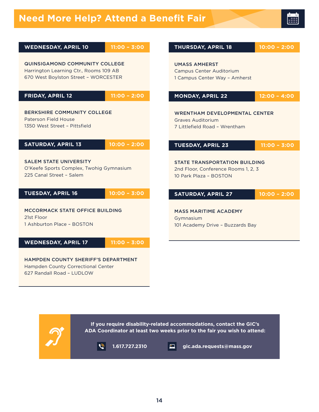

| <b>WEDNESDAY, APRIL 10</b>                                                                                              | $11:00 - 3:00$ | <b>THURSDAY, APRIL 18</b>                                                                             | $10:00 - 2:00$ |
|-------------------------------------------------------------------------------------------------------------------------|----------------|-------------------------------------------------------------------------------------------------------|----------------|
| <b>QUINSIGAMOND COMMUNITY COLLEGE</b><br>Harrington Learning Ctr., Rooms 109 AB<br>670 West Boylston Street - WORCESTER |                | <b>UMASS AMHERST</b><br>Campus Center Auditorium<br>1 Campus Center Way - Amherst                     |                |
| <b>FRIDAY, APRIL 12</b>                                                                                                 | $11:00 - 2:00$ | <b>MONDAY, APRIL 22</b>                                                                               | $12:00 - 4:00$ |
| <b>BERKSHIRE COMMUNITY COLLEGE</b><br>Paterson Field House<br>1350 West Street - Pittsfield                             |                | <b>WRENTHAM DEVELOPMENTAL CENTER</b><br><b>Graves Auditorium</b><br>7 Littlefield Road - Wrentham     |                |
| <b>SATURDAY, APRIL 13</b>                                                                                               | $10:00 - 2:00$ | <b>TUESDAY, APRIL 23</b>                                                                              | $11:00 - 3:00$ |
| <b>SALEM STATE UNIVERSITY</b><br>O'Keefe Sports Complex, Twohig Gymnasium<br>225 Canal Street - Salem                   |                | <b>STATE TRANSPORTATION BUILDING</b><br>2nd Floor, Conference Rooms 1, 2, 3<br>10 Park Plaza - BOSTON |                |
| <b>TUESDAY, APRIL 16</b>                                                                                                | $10:00 - 3:00$ | <b>SATURDAY, APRIL 27</b>                                                                             | $10:00 - 2:00$ |
| MCCORMACK STATE OFFICE BUILDING<br>21st Floor<br>1 Ashburton Place - BOSTON                                             |                | <b>MASS MARITIME ACADEMY</b><br>Gymnasium<br>101 Academy Drive - Buzzards Bay                         |                |
| <b>WEDNESDAY, APRIL 17</b>                                                                                              | $11:00 - 3:00$ |                                                                                                       |                |
| <b>HAMPDEN COUNTY SHERIFF'S DEPARTMENT</b><br>Hampden County Correctional Center<br>627 Randall Road - LUDLOW           |                |                                                                                                       |                |

**If you require disability-related accommodations, contact the GIC's ADA Coordinator at least two weeks prior to the fair you wish to attend:** 

 $\boxed{c}$ 

 $\sum_{i=1}^{n}$ 

**1.617.727.2310 [gic.ada.requests@mass.gov](mailto:gic.ada.requests@mass.gov)**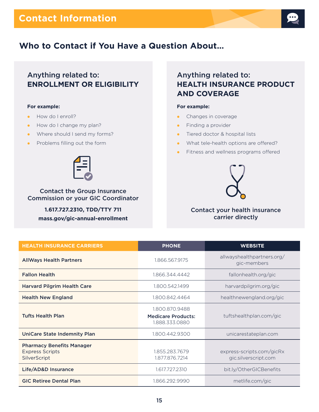

# **Who to Contact if You Have a Question About…**

# Anything related to: **ENROLLMENT OR ELIGIBILITY**

### **For example:**

- How do I enroll?  $\bullet$
- How do I change my plan?
- Where should I send my forms?
- Problems filling out the form



Contact the Group Insurance Commission or your GIC Coordinator

> **1.617.727.2310, TDD/TTY 711 [mass.gov/gic-annual-enrollment](http://mass.gov/gic-annual-enrollment)**

# Anything related to: **HEALTH INSURANCE PRODUCT AND COVERAGE**

## **For example:**

- Changes in coverage  $\bullet$
- Finding a provider la l
- Tiered doctor & hospital lists
- What tele-health options are offered?
- Fitness and wellness programs offered  $\bullet$



# Contact your health insurance carrier directly

| <b>HEALTH INSURANCE CARRIERS</b>                                           | <b>PHONE</b>                                                  | <b>WEBSITE</b>                                    |
|----------------------------------------------------------------------------|---------------------------------------------------------------|---------------------------------------------------|
| <b>AllWays Health Partners</b>                                             | 1.866.567.9175                                                | allwayshealthpartners.org/<br>gic-members         |
| <b>Fallon Health</b>                                                       | 1.866.344.4442                                                | fallonhealth.org/gic                              |
| <b>Harvard Pilgrim Health Care</b>                                         | 1.800.542.1499                                                | harvardpilgrim.org/gic                            |
| <b>Health New England</b>                                                  | 1.800.842.4464                                                | healthnewengland.org/gic                          |
| <b>Tufts Health Plan</b>                                                   | 1.800.870.9488<br><b>Medicare Products:</b><br>1.888.333.0880 | tuftshealthplan.com/gic                           |
| <b>UniCare State Indemnity Plan</b>                                        | 1.800.442.9300                                                | unicarestateplan.com                              |
| <b>Pharmacy Benefits Manager</b><br><b>Express Scripts</b><br>SilverScript | 1.855.283.7679<br>1.877.876.7214                              | express-scripts.com/gicRx<br>gic.silverscript.com |
| Life/AD&D Insurance                                                        | 1.617.727.2310                                                | bit.ly/OtherGICBenefits                           |
| <b>GIC Retiree Dental Plan</b>                                             | 1.866.292.9990                                                | metlife.com/gic                                   |